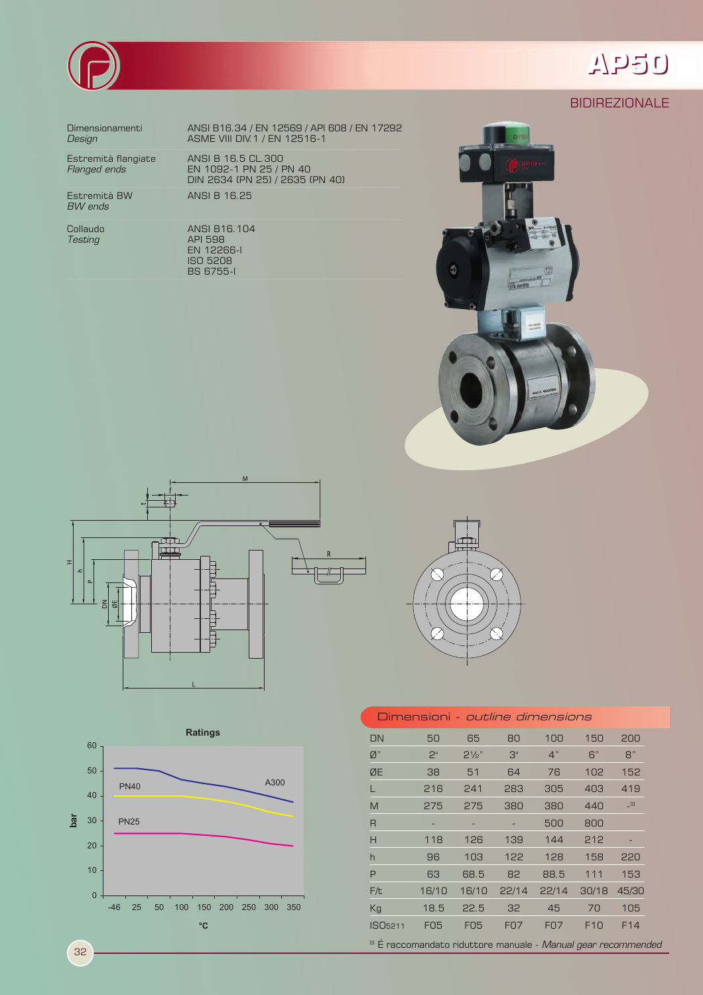

## AP50

**BIDIREZIONALE** 

Dimensionamenti Design

Estremità flangiate Flanged ends

Estremità BW<br>*BW ends* 

Collaudo **Testing** 

ANSI B16.34 / EN 12569 / API 608 / EN 17292<br>ASME VIII DIV.1 / EN 12516-1

ANSI B 16.5 CL.300 EN 1092-1 PN 25 / PN 40<br>DIN 2634 (PN 25) / 2635 (PN 40) ANSI B 16.25

ANSI B16.104 ANGI BTC:<br>
API 598<br>
EN 12266-I<br>
ISO 5208

**BS 6755-1** 









| Dimensioni <i>- outline dimensions</i>                                   |            |                  |            |            |                 |        |  |
|--------------------------------------------------------------------------|------------|------------------|------------|------------|-----------------|--------|--|
| DN                                                                       | 50         | 65               | 80         | 100        | 150             | 200    |  |
| Ø"                                                                       | 2"         | $2\frac{1}{2}$ " | 3"         | 4"         | 6"              | B"     |  |
| ØE                                                                       | 38         | 51               | 64         | 76         | 102             | 152    |  |
|                                                                          | 216        | 241              | 283        | 305        | 403             | 419    |  |
| M                                                                        | 275        | 275              | 380        | 380        | 440             | $\Box$ |  |
| $\overline{R}$                                                           |            |                  |            | 500        | 800             |        |  |
| Н                                                                        | 118        | 126              | 139        | 144        | 212             |        |  |
| h                                                                        | 96         | 103              | 122        | 128        | 158             | 220    |  |
| P                                                                        | 63         | 68.5             | 82         | 88.5       | 111             | 153    |  |
| F/t                                                                      | 16/10      | 16/10            | 22/14      | 22/14      | 30/18           | 45/30  |  |
| Kg                                                                       | 18.5       | 22.5             | 32         | 45         | 70              | 105    |  |
| ISO <sub>5211</sub>                                                      | <b>FO5</b> | <b>FO5</b>       | <b>FO7</b> | <b>FO7</b> | F <sub>10</sub> | F14    |  |
| <sup>10</sup> É raccomandato riduttore manuale - Manual gear recommended |            |                  |            |            |                 |        |  |